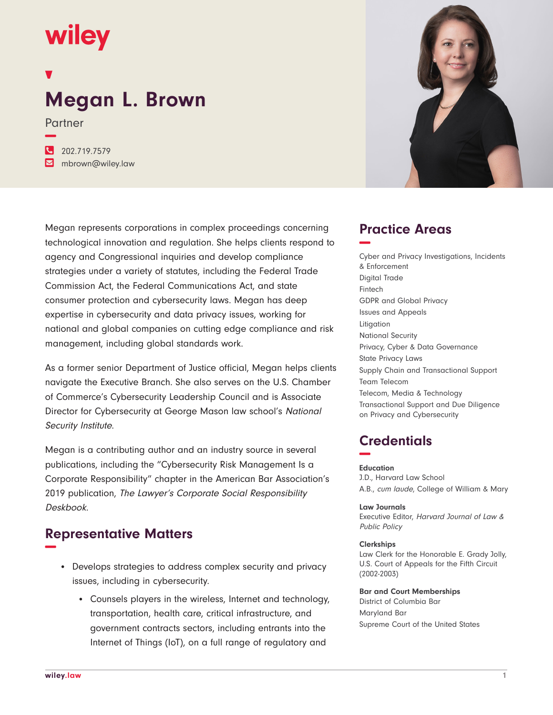## wiley

# **Megan L. Brown**

Partner

**−**

**�** 202.719.7579 **�** mbrown@wiley.law

Megan represents corporations in complex proceedings concerning technological innovation and regulation. She helps clients respond to agency and Congressional inquiries and develop compliance strategies under a variety of statutes, including the Federal Trade Commission Act, the Federal Communications Act, and state consumer protection and cybersecurity laws. Megan has deep expertise in cybersecurity and data privacy issues, working for national and global companies on cutting edge compliance and risk management, including global standards work.

As a former senior Department of Justice official, Megan helps clients navigate the Executive Branch. She also serves on the U.S. Chamber of Commerce's Cybersecurity Leadership Council and is Associate Director for Cybersecurity at George Mason law school's National Security Institute.

Megan is a contributing author and an industry source in several publications, including the "Cybersecurity Risk Management Is a Corporate Responsibility" chapter in the American Bar Association's 2019 publication, The Lawyer's Corporate Social Responsibility Deskbook.

## **Representative Matters −**

- Develops strategies to address complex security and privacy issues, including in cybersecurity.
	- Counsels players in the wireless, Internet and technology, transportation, health care, critical infrastructure, and government contracts sectors, including entrants into the Internet of Things (IoT), on a full range of regulatory and



## **Practice Areas −**

Cyber and Privacy Investigations, Incidents & Enforcement Digital Trade Fintech GDPR and Global Privacy Issues and Appeals Litigation National Security Privacy, Cyber & Data Governance State Privacy Laws Supply Chain and Transactional Support Team Telecom Telecom, Media & Technology Transactional Support and Due Diligence on Privacy and Cybersecurity

## **Credentials −**

**Education** J.D., Harvard Law School A.B., cum laude, College of William & Mary

**Law Journals** Executive Editor, Harvard Journal of Law & Public Policy

#### **Clerkships**

Law Clerk for the Honorable E. Grady Jolly, U.S. Court of Appeals for the Fifth Circuit (2002-2003)

#### **Bar and Court Memberships** District of Columbia Bar

Maryland Bar Supreme Court of the United States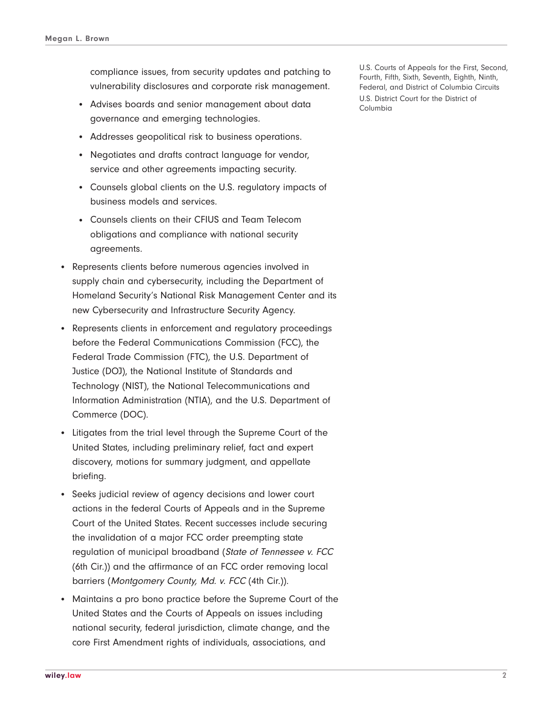compliance issues, from security updates and patching to vulnerability disclosures and corporate risk management.

- Advises boards and senior management about data governance and emerging technologies.
- Addresses geopolitical risk to business operations.
- Negotiates and drafts contract language for vendor, service and other agreements impacting security.
- Counsels global clients on the U.S. regulatory impacts of business models and services.
- Counsels clients on their CFIUS and Team Telecom obligations and compliance with national security agreements.
- Represents clients before numerous agencies involved in supply chain and cybersecurity, including the Department of Homeland Security's National Risk Management Center and its new Cybersecurity and Infrastructure Security Agency.
- Represents clients in enforcement and requlatory proceedings before the Federal Communications Commission (FCC), the Federal Trade Commission (FTC), the U.S. Department of Justice (DOJ), the National Institute of Standards and Technology (NIST), the National Telecommunications and Information Administration (NTIA), and the U.S. Department of Commerce (DOC).
- Litigates from the trial level through the Supreme Court of the United States, including preliminary relief, fact and expert discovery, motions for summary judgment, and appellate briefing.
- Seeks judicial review of agency decisions and lower court actions in the federal Courts of Appeals and in the Supreme Court of the United States. Recent successes include securing the invalidation of a major FCC order preempting state regulation of municipal broadband (State of Tennessee v. FCC (6th Cir.)) and the affirmance of an FCC order removing local barriers (Montgomery County, Md. v. FCC (4th Cir.)).
- Maintains a pro bono practice before the Supreme Court of the United States and the Courts of Appeals on issues including national security, federal jurisdiction, climate change, and the core First Amendment rights of individuals, associations, and

U.S. Courts of Appeals for the First, Second, Fourth, Fifth, Sixth, Seventh, Eighth, Ninth, Federal, and District of Columbia Circuits U.S. District Court for the District of Columbia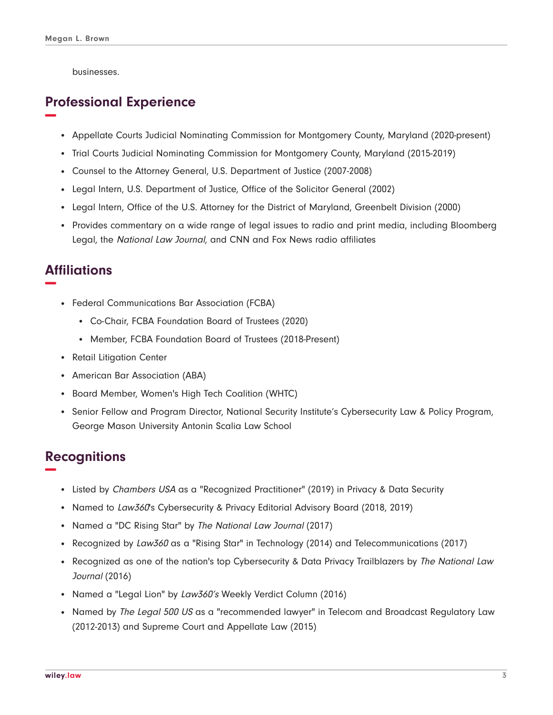businesses.

## **Professional Experience −**

- Appellate Courts Judicial Nominating Commission for Montgomery County, Maryland (2020-present)
- Trial Courts Judicial Nominating Commission for Montgomery County, Maryland (2015-2019)
- Counsel to the Attorney General, U.S. Department of Justice (2007-2008)
- Legal Intern, U.S. Department of Justice, Office of the Solicitor General (2002)
- Legal Intern, Office of the U.S. Attorney for the District of Maryland, Greenbelt Division (2000)
- Provides commentary on a wide range of legal issues to radio and print media, including Bloomberg Legal, the National Law Journal, and CNN and Fox News radio affiliates

## **Affiliations −**

- Federal Communications Bar Association (FCBA)
	- Co-Chair, FCBA Foundation Board of Trustees (2020)
	- Member, FCBA Foundation Board of Trustees (2018-Present)
- Retail Litigation Center
- American Bar Association (ABA)
- Board Member, Women's High Tech Coalition (WHTC)
- Senior Fellow and Program Director, National Security Institute's Cybersecurity Law & Policy Program, George Mason University Antonin Scalia Law School

## **Recognitions −**

- Listed by Chambers USA as a "Recognized Practitioner" (2019) in Privacy & Data Security
- Named to Law360's Cybersecurity & Privacy Editorial Advisory Board (2018, 2019)
- Named a "DC Rising Star" by The National Law Journal (2017)
- Recognized by Law360 as a "Rising Star" in Technology (2014) and Telecommunications (2017)
- Recognized as one of the nation's top Cybersecurity & Data Privacy Trailblazers by The National Law Journal (2016)
- Named a "Legal Lion" by Law360's Weekly Verdict Column (2016)
- Named by The Legal 500 US as a "recommended lawyer" in Telecom and Broadcast Regulatory Law (2012-2013) and Supreme Court and Appellate Law (2015)